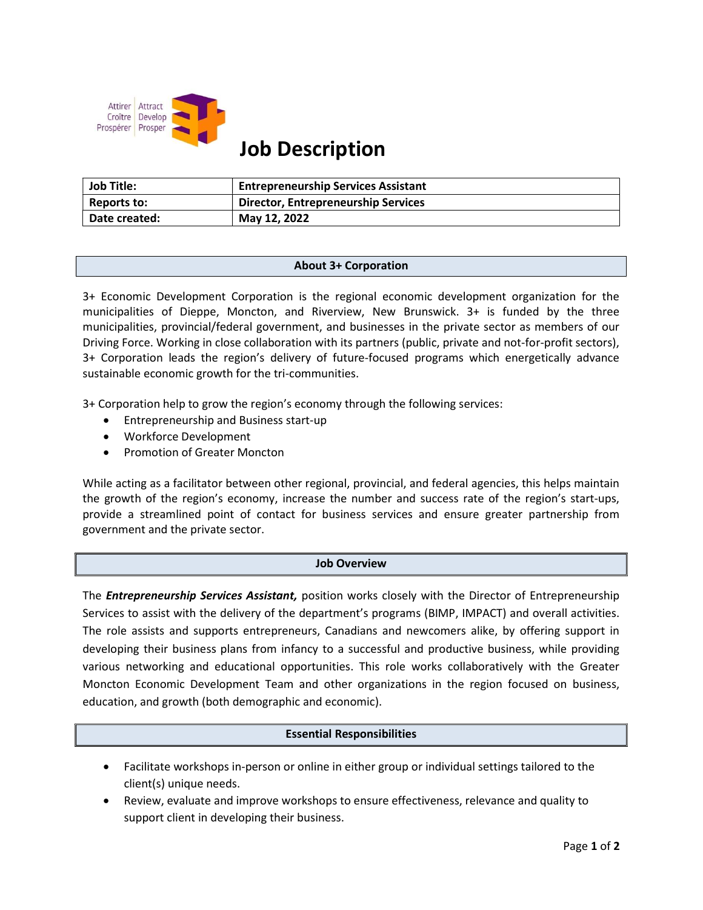

# Job Description

| <b>Job Title:</b> | <b>Entrepreneurship Services Assistant</b> |
|-------------------|--------------------------------------------|
| Reports to:       | Director, Entrepreneurship Services        |
| Date created:     | May 12, 2022                               |

# About 3+ Corporation

3+ Economic Development Corporation is the regional economic development organization for the municipalities of Dieppe, Moncton, and Riverview, New Brunswick. 3+ is funded by the three municipalities, provincial/federal government, and businesses in the private sector as members of our Driving Force. Working in close collaboration with its partners (public, private and not-for-profit sectors), 3+ Corporation leads the region's delivery of future-focused programs which energetically advance sustainable economic growth for the tri-communities.

3+ Corporation help to grow the region's economy through the following services:

- Entrepreneurship and Business start-up
- Workforce Development
- Promotion of Greater Moncton

While acting as a facilitator between other regional, provincial, and federal agencies, this helps maintain the growth of the region's economy, increase the number and success rate of the region's start-ups, provide a streamlined point of contact for business services and ensure greater partnership from government and the private sector.

# Job Overview

The **Entrepreneurship Services Assistant**, position works closely with the Director of Entrepreneurship Services to assist with the delivery of the department's programs (BIMP, IMPACT) and overall activities. The role assists and supports entrepreneurs, Canadians and newcomers alike, by offering support in developing their business plans from infancy to a successful and productive business, while providing various networking and educational opportunities. This role works collaboratively with the Greater Moncton Economic Development Team and other organizations in the region focused on business, education, and growth (both demographic and economic).

# Essential Responsibilities

- Facilitate workshops in-person or online in either group or individual settings tailored to the client(s) unique needs.
- Review, evaluate and improve workshops to ensure effectiveness, relevance and quality to support client in developing their business.